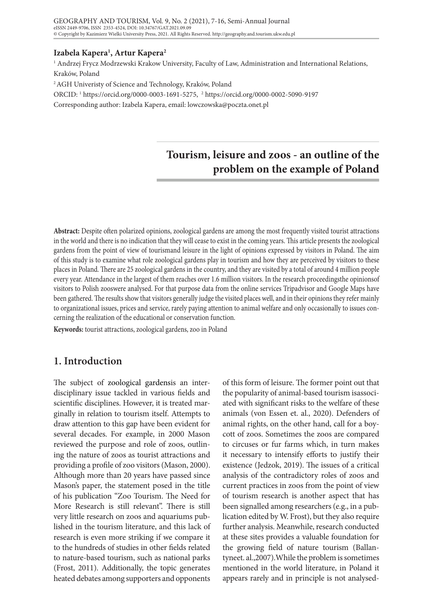## **Izabela Kapera1 , Artur Kapera2**

1 Andrzej Frycz Modrzewski Krakow University, Faculty of Law, Administration and International Relations, Kraków, Poland

2 AGH Univeristy of Science and Technology, Kraków, Poland

ORCID: 1 https://orcid.org/0000-0003-1691-5275, 2 https://orcid.org/0000-0002-5090-9197

Corresponding author: Izabela Kapera, email: lowczowska@poczta.onet.pl

# **Tourism, leisure and zoos - an outline of the problem on the example of Poland**

**Abstract:** Despite often polarized opinions, zoological gardens are among the most frequently visited tourist attractions in the world and there is no indication that they will cease to exist in the coming years. This article presents the zoological gardens from the point of view of tourismand leisure in the light of opinions expressed by visitors in Poland. The aim of this study is to examine what role zoological gardens play in tourism and how they are perceived by visitors to these places in Poland. There are 25 zoological gardens in the country, and they are visited by a total of around 4 million people every year. Attendance in the largest of them reaches over 1.6 million visitors. In the research proceedingsthe opinionsof visitors to Polish zooswere analysed. For that purpose data from the online services Tripadvisor and Google Maps have been gathered. The results show that visitors generally judge the visited places well, and in their opinions they refer mainly to organizational issues, prices and service, rarely paying attention to animal welfare and only occasionally to issues concerning the realization of the educational or conservation function.

**Keywords:** tourist attractions, zoological gardens, zoo in Poland

## **1. Introduction**

The subject of zoological gardensis an interdisciplinary issue tackled in various fields and scientific disciplines. However, it is treated marginally in relation to tourism itself. Attempts to draw attention to this gap have been evident for several decades. For example, in 2000 Mason reviewed the purpose and role of zoos, outlining the nature of zoos as tourist attractions and providing a profile of zoo visitors (Mason, 2000). Although more than 20 years have passed since Mason's paper, the statement posed in the title of his publication "Zoo Tourism. The Need for More Research is still relevant". There is still very little research on zoos and aquariums published in the tourism literature, and this lack of research is even more striking if we compare it to the hundreds of studies in other fields related to nature-based tourism, such as national parks (Frost, 2011). Additionally, the topic generates heated debates among supporters and opponents

of this form of leisure. The former point out that the popularity of animal-based tourism isassociated with significant risks to the welfare of these animals (von Essen et. al., 2020). Defenders of animal rights, on the other hand, call for a boycott of zoos. Sometimes the zoos are compared to circuses or fur farms which, in turn makes it necessary to intensify efforts to justify their existence (Jedzok, 2019). The issues of a critical analysis of the contradictory roles of zoos and current practices in zoos from the point of view of tourism research is another aspect that has been signalled among researchers (e.g., in a publication edited by W. Frost), but they also require further analysis. Meanwhile, research conducted at these sites provides a valuable foundation for the growing field of nature tourism (Ballantyneet. al.,2007).While the problem is sometimes mentioned in the world literature, in Poland it appears rarely and in principle is not analysed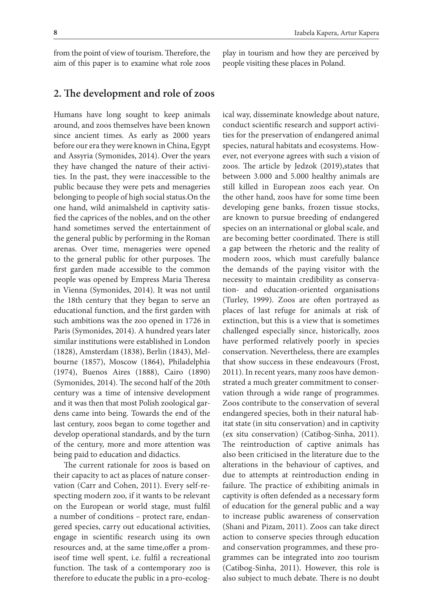from the point of view of tourism. Therefore, the aim of this paper is to examine what role zoos

## **2. The development and role of zoos**

Humans have long sought to keep animals around, and zoos themselves have been known since ancient times. As early as 2000 years before our era they were known in China, Egypt and Assyria (Symonides, 2014). Over the years they have changed the nature of their activities. In the past, they were inaccessible to the public because they were pets and menageries belonging to people of high social status.On the one hand, wild animalsheld in captivity satisfied the caprices of the nobles, and on the other hand sometimes served the entertainment of the general public by performing in the Roman arenas. Over time, menageries were opened to the general public for other purposes. The first garden made accessible to the common people was opened by Empress Maria Theresa in Vienna (Symonides, 2014). It was not until the 18th century that they began to serve an educational function, and the first garden with such ambitions was the zoo opened in 1726 in Paris (Symonides, 2014). A hundred years later similar institutions were established in London (1828), Amsterdam (1838), Berlin (1843), Melbourne (1857), Moscow (1864), Philadelphia (1974), Buenos Aires (1888), Cairo (1890) (Symonides, 2014). The second half of the 20th century was a time of intensive development and it was then that most Polish zoological gardens came into being. Towards the end of the last century, zoos began to come together and develop operational standards, and by the turn of the century, more and more attention was being paid to education and didactics.

The current rationale for zoos is based on their capacity to act as places of nature conservation (Carr and Cohen, 2011). Every self-respecting modern zoo, if it wants to be relevant on the European or world stage, must fulfil a number of conditions – protect rare, endangered species, carry out educational activities, engage in scientific research using its own resources and, at the same time,offer a promiseof time well spent, i.e. fulfil a recreational function. The task of a contemporary zoo is therefore to educate the public in a pro-ecolog-

play in tourism and how they are perceived by people visiting these places in Poland.

ical way, disseminate knowledge about nature, conduct scientific research and support activities for the preservation of endangered animal species, natural habitats and ecosystems. However, not everyone agrees with such a vision of zoos. The article by Jedzok (2019),states that between 3.000 and 5.000 healthy animals are still killed in European zoos each year. On the other hand, zoos have for some time been developing gene banks, frozen tissue stocks, are known to pursue breeding of endangered species on an international or global scale, and are becoming better coordinated. There is still a gap between the rhetoric and the reality of modern zoos, which must carefully balance the demands of the paying visitor with the necessity to maintain credibility as conservation- and education-oriented organisations (Turley, 1999). Zoos are often portrayed as places of last refuge for animals at risk of extinction, but this is a view that is sometimes challenged especially since, historically, zoos have performed relatively poorly in species conservation. Nevertheless, there are examples that show success in these endeavours (Frost, 2011). In recent years, many zoos have demonstrated a much greater commitment to conservation through a wide range of programmes. Zoos contribute to the conservation of several endangered species, both in their natural habitat state (in situ conservation) and in captivity (ex situ conservation) (Catibog-Sinha, 2011). The reintroduction of captive animals has also been criticised in the literature due to the alterations in the behaviour of captives, and due to attempts at reintroduction ending in failure. The practice of exhibiting animals in captivity is often defended as a necessary form of education for the general public and a way to increase public awareness of conservation (Shani and Pizam, 2011). Zoos can take direct action to conserve species through education and conservation programmes, and these programmes can be integrated into zoo tourism (Catibog-Sinha, 2011). However, this role is also subject to much debate. There is no doubt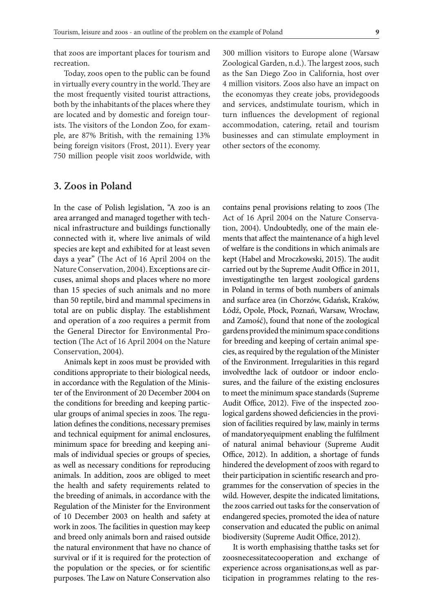that zoos are important places for tourism and recreation.

Today, zoos open to the public can be found in virtually every country in the world. They are the most frequently visited tourist attractions, both by the inhabitants of the places where they are located and by domestic and foreign tourists. The visitors of the London Zoo, for example, are 87% British, with the remaining 13% being foreign visitors (Frost, 2011). Every year 750 million people visit zoos worldwide, with

## **3. Zoos in Poland**

In the case of Polish legislation, "A zoo is an area arranged and managed together with technical infrastructure and buildings functionally connected with it, where live animals of wild species are kept and exhibited for at least seven days a year" (The Act of 16 April 2004 on the Nature Conservation, 2004). Exceptions are circuses, animal shops and places where no more than 15 species of such animals and no more than 50 reptile, bird and mammal specimens in total are on public display. The establishment and operation of a zoo requires a permit from the General Director for Environmental Protection (The Act of 16 April 2004 on the Nature Conservation, 2004).

Animals kept in zoos must be provided with conditions appropriate to their biological needs, in accordance with the Regulation of the Minister of the Environment of 20 December 2004 on the conditions for breeding and keeping particular groups of animal species in zoos. The regulation defines the conditions, necessary premises and technical equipment for animal enclosures, minimum space for breeding and keeping animals of individual species or groups of species, as well as necessary conditions for reproducing animals. In addition, zoos are obliged to meet the health and safety requirements related to the breeding of animals, in accordance with the Regulation of the Minister for the Environment of 10 December 2003 on health and safety at work in zoos. The facilities in question may keep and breed only animals born and raised outside the natural environment that have no chance of survival or if it is required for the protection of the population or the species, or for scientific purposes. The Law on Nature Conservation also

300 million visitors to Europe alone (Warsaw Zoological Garden, n.d.). The largest zoos, such as the San Diego Zoo in California, host over 4 million visitors. Zoos also have an impact on the economyas they create jobs, providegoods and services, andstimulate tourism, which in turn influences the development of regional accommodation, catering, retail and tourism businesses and can stimulate employment in other sectors of the economy.

contains penal provisions relating to zoos (The Act of 16 April 2004 on the Nature Conservation, 2004). Undoubtedly, one of the main elements that affect the maintenance of a high level of welfare is the conditions in which animals are kept (Habel and Mroczkowski, 2015). The audit carried out by the Supreme Audit Office in 2011, investigatingthe ten largest zoological gardens in Poland in terms of both numbers of animals and surface area (in Chorzów, Gdańsk, Kraków, Łódź, Opole, Płock, Poznań, Warsaw, Wrocław, and Zamość), found that none of the zoological gardens provided the minimum space conditions for breeding and keeping of certain animal species, as required by the regulation of the Minister of the Environment. Irregularities in this regard involvedthe lack of outdoor or indoor enclosures, and the failure of the existing enclosures to meet the minimum space standards (Supreme Audit Office, 2012). Five of the inspected zoological gardens showed deficiencies in the provision of facilities required by law, mainly in terms of mandatoryequipment enabling the fulfilment of natural animal behaviour (Supreme Audit Office, 2012). In addition, a shortage of funds hindered the development of zoos with regard to their participation in scientific research and programmes for the conservation of species in the wild. However, despite the indicated limitations, the zoos carried out tasks for the conservation of endangered species, promoted the idea of nature conservation and educated the public on animal biodiversity (Supreme Audit Office, 2012).

It is worth emphasising thatthe tasks set for zoosnecessitatecooperation and exchange of experience across organisations,as well as participation in programmes relating to the res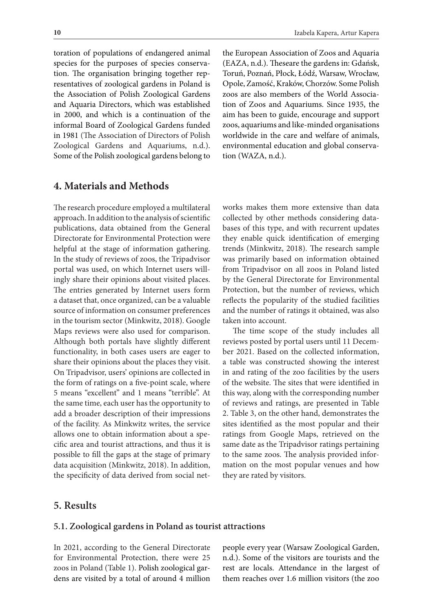toration of populations of endangered animal species for the purposes of species conservation. The organisation bringing together representatives of zoological gardens in Poland is the Association of Polish Zoological Gardens and Aquaria Directors, which was established in 2000, and which is a continuation of the informal Board of Zoological Gardens funded in 1981 (The Association of Directors of Polish Zoological Gardens and Aquariums, n.d.). Some of the Polish zoological gardens belong to

## **4. Materials and Methods**

The research procedure employed a multilateral approach. In addition to the analysis of scientific publications, data obtained from the General Directorate for Environmental Protection were helpful at the stage of information gathering. In the study of reviews of zoos, the Tripadvisor portal was used, on which Internet users willingly share their opinions about visited places. The entries generated by Internet users form a dataset that, once organized, can be a valuable source of information on consumer preferences in the tourism sector (Minkwitz, 2018). Google Maps reviews were also used for comparison. Although both portals have slightly different functionality, in both cases users are eager to share their opinions about the places they visit. On Tripadvisor, users' opinions are collected in the form of ratings on a five-point scale, where 5 means "excellent" and 1 means "terrible". At the same time, each user has the opportunity to add a broader description of their impressions of the facility. As Minkwitz writes, the service allows one to obtain information about a specific area and tourist attractions, and thus it is possible to fill the gaps at the stage of primary data acquisition (Minkwitz, 2018). In addition, the specificity of data derived from social netthe European Association of Zoos and Aquaria (EAZA, n.d.). Theseare the gardens in: Gdańsk, Toruń, Poznań, Płock, Łódź, Warsaw, Wrocław, Opole, Zamość, Kraków, Chorzów. Some Polish zoos are also members of the World Association of Zoos and Aquariums. Since 1935, the aim has been to guide, encourage and support zoos, aquariums and like-minded organisations worldwide in the care and welfare of animals, environmental education and global conservation (WAZA, n.d.).

works makes them more extensive than data collected by other methods considering databases of this type, and with recurrent updates they enable quick identification of emerging trends (Minkwitz, 2018). The research sample was primarily based on information obtained from Tripadvisor on all zoos in Poland listed by the General Directorate for Environmental Protection, but the number of reviews, which reflects the popularity of the studied facilities and the number of ratings it obtained, was also taken into account.

The time scope of the study includes all reviews posted by portal users until 11 December 2021. Based on the collected information, a table was constructed showing the interest in and rating of the zoo facilities by the users of the website. The sites that were identified in this way, along with the corresponding number of reviews and ratings, are presented in Table 2. Table 3, on the other hand, demonstrates the sites identified as the most popular and their ratings from Google Maps, retrieved on the same date as the Tripadvisor ratings pertaining to the same zoos. The analysis provided information on the most popular venues and how they are rated by visitors.

## **5. Results**

#### **5.1. Zoological gardens in Poland as tourist attractions**

In 2021, according to the General Directorate for Environmental Protection, there were 25 zoos in Poland (Table 1). Polish zoological gardens are visited by a total of around 4 million

people every year (Warsaw Zoological Garden, n.d.). Some of the visitors are tourists and the rest are locals. Attendance in the largest of them reaches over 1.6 million visitors (the zoo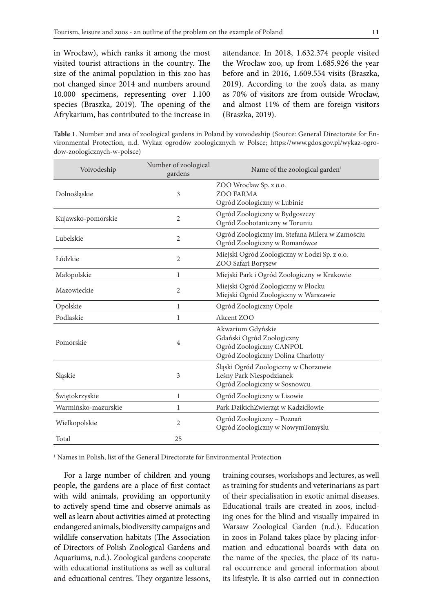in Wrocław), which ranks it among the most visited tourist attractions in the country. The size of the animal population in this zoo has not changed since 2014 and numbers around 10.000 specimens, representing over 1.100 species (Braszka, 2019). The opening of the Afrykarium, has contributed to the increase in

attendance. In 2018, 1.632.374 people visited the Wrocław zoo, up from 1.685.926 the year before and in 2016, 1.609.554 visits (Braszka, 2019). According to the zoo's data, as many as 70% of visitors are from outside Wrocław, and almost 11% of them are foreign visitors (Braszka, 2019).

**Table 1**. Number and area of zoological gardens in Poland by voivodeship (Source: General Directorate for Environmental Protection, n.d. Wykaz ogrodów zoologicznych w Polsce; https://www.gdos.gov.pl/wykaz-ogrodow-zoologicznych-w-polsce)

| Voivodeship         | Number of zoological<br>gardens | Name of the zoological garden <sup>1</sup>                                                                       |  |  |
|---------------------|---------------------------------|------------------------------------------------------------------------------------------------------------------|--|--|
| Dolnośląskie        | 3                               | ZOO Wrocław Sp. z o.o.<br><b>ZOO FARMA</b><br>Ogród Zoologiczny w Lubinie                                        |  |  |
| Kujawsko-pomorskie  | $\overline{2}$                  | Ogród Zoologiczny w Bydgoszczy<br>Ogród Zoobotaniczny w Toruniu                                                  |  |  |
| Lubelskie           | $\overline{2}$                  | Ogród Zoologiczny im. Stefana Milera w Zamościu<br>Ogród Zoologiczny w Romanówce                                 |  |  |
| Łódzkie             | 2                               | Miejski Ogród Zoologiczny w Łodzi Sp. z o.o.<br>ZOO Safari Borysew                                               |  |  |
| Małopolskie         | 1                               | Miejski Park i Ogród Zoologiczny w Krakowie                                                                      |  |  |
| Mazowieckie         | $\overline{2}$                  | Miejski Ogród Zoologiczny w Płocku<br>Miejski Ogród Zoologiczny w Warszawie                                      |  |  |
| Opolskie            | 1                               | Ogród Zoologiczny Opole                                                                                          |  |  |
| Podlaskie           | 1                               | Akcent ZOO                                                                                                       |  |  |
| Pomorskie           | 4                               | Akwarium Gdyńskie<br>Gdański Ogród Zoologiczny<br>Ogród Zoologiczny CANPOL<br>Ogród Zoologiczny Dolina Charlotty |  |  |
| Śląskie             | 3                               | Śląski Ogród Zoologiczny w Chorzowie<br>Leśny Park Niespodzianek<br>Ogród Zoologiczny w Sosnowcu                 |  |  |
| Świętokrzyskie      | $\mathbf{1}$                    | Ogród Zoologiczny w Lisowie                                                                                      |  |  |
| Warmińsko-mazurskie | 1                               | Park DzikichZwierząt w Kadzidłowie                                                                               |  |  |
| Wielkopolskie       | 2                               | Ogród Zoologiczny - Poznań<br>Ogród Zoologiczny w NowymTomyślu                                                   |  |  |
| Total               | 25                              |                                                                                                                  |  |  |

1 Names in Polish, list of the General Directorate for Environmental Protection

For a large number of children and young people, the gardens are a place of first contact with wild animals, providing an opportunity to actively spend time and observe animals as well as learn about activities aimed at protecting endangered animals, biodiversity campaigns and wildlife conservation habitats (The Association of Directors of Polish Zoological Gardens and Aquariums, n.d.). Zoological gardens cooperate with educational institutions as well as cultural and educational centres. They organize lessons,

training courses, workshops and lectures, as well as training for students and veterinarians as part of their specialisation in exotic animal diseases. Educational trails are created in zoos, including ones for the blind and visually impaired in Warsaw Zoological Garden (n.d.). Education in zoos in Poland takes place by placing information and educational boards with data on the name of the species, the place of its natural occurrence and general information about its lifestyle. It is also carried out in connection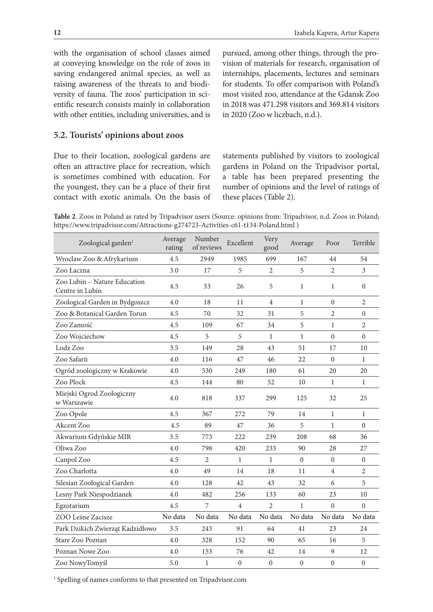with the organisation of school classes aimed at conveying knowledge on the role of zoos in saving endangered animal species, as well as raising awareness of the threats to and biodiversity of fauna. The zoos' participation in scientific research consists mainly in collaboration with other entities, including universities, and is

#### **5.2. Tourists' opinions about zoos**

Due to their location, zoological gardens are often an attractive place for recreation, which is sometimes combined with education. For the youngest, they can be a place of their first contact with exotic animals. On the basis of pursued, among other things, through the provision of materials for research, organisation of internships, placements, lectures and seminars for students. To offer comparison with Poland's most visited zoo, attendance at the Gdansk Zoo in 2018 was 471.298 visitors and 369.814 visitors in 2020 (Zoo w liczbach, n.d.).

statements published by visitors to zoological gardens in Poland on the Tripadvisor portal, a table has been prepared presenting the number of opinions and the level of ratings of these places (Table 2).

**Table 2**. Zoos in Poland as rated by Tripadvisor users (Source: opinions from: Tripadvisor, n.d. Zoos in Poland; https://www.tripadvisor.com/Attractions-g274723-Activities-c61-t134-Poland.html )

| Zoological garden <sup>1</sup>                  | Average<br>rating | Number<br>of reviews | Excellent      | Very<br>good   | Average        | Poor             | Terrible         |
|-------------------------------------------------|-------------------|----------------------|----------------|----------------|----------------|------------------|------------------|
| Wroclaw Zoo & Afrykarium                        | 4.5               | 2949                 | 1985           | 699            | 167            | 44               | 54               |
| Zoo Łaczna                                      | 3.0               | 17                   | 5              | $\overline{2}$ | 5              | $\overline{2}$   | 3                |
| Zoo Lubin - Nature Education<br>Centre in Lubin | 4.5               | 33                   | 26             | 5              | 1              | 1                | $\mathbf{0}$     |
| Zoological Garden in Bydgoszcz                  | 4.0               | 18                   | 11             | $\overline{4}$ | 1              | $\mathbf{0}$     | $\overline{2}$   |
| Zoo & Botanical Garden Torun                    | 4.5               | 70                   | 32             | 31             | 5              | $\overline{2}$   | $\boldsymbol{0}$ |
| Zoo Zamość                                      | 4.5               | 109                  | 67             | 34             | 5              | $\mathbf{1}$     | $\overline{2}$   |
| Zoo Wojciechow                                  | 4.5               | 5                    | 5              | $\mathbf{1}$   | $\mathbf{1}$   | $\boldsymbol{0}$ | $\theta$         |
| Lodz Zoo                                        | 3.5               | 149                  | 28             | 43             | 51             | 17               | 10               |
| Zoo Safarii                                     | 4.0               | 116                  | 47             | 46             | 22             | $\overline{0}$   | 1                |
| Ogród zoologiczny w Krakowie                    | 4.0               | 530                  | 249            | 180            | 61             | 20               | 20               |
| Zoo Plock                                       | 4.5               | 144                  | 80             | 52             | 10             | 1                | 1                |
| Miejski Ogrod Zoologiczny<br>w Warszawie        | 4.0               | 818                  | 337            | 299            | 125            | 32               | 25               |
| Zoo Opole                                       | 4.5               | 367                  | 272            | 79             | 14             | $\mathbf{1}$     | $\mathbf{1}$     |
| Akcent Zoo                                      | 4.5               | 89                   | 47             | 36             | 5              | $\mathbf{1}$     | $\theta$         |
| Akwarium Gdyńskie MIR                           | 3.5               | 773                  | 222            | 239            | 208            | 68               | 36               |
| Oliwa Zoo                                       | 4.0               | 798                  | 420            | 233            | 90             | 28               | 27               |
| Canpol Zoo                                      | 4.5               | 2                    | $\mathbf{1}$   | 1              | $\Omega$       | $\overline{0}$   | $\mathbf{0}$     |
| Zoo Charlotta                                   | 4.0               | 49                   | 14             | 18             | 11             | 4                | $\overline{2}$   |
| Silesian Zoological Garden                      | 4.0               | 128                  | 42             | 43             | 32             | 6                | 5                |
| Lesny Park Niespodzianek                        | 4.0               | 482                  | 256            | 133            | 60             | 23               | 10               |
| Egzotarium                                      | 4.5               | 7                    | $\overline{4}$ | $\mathfrak{2}$ | 1              | $\boldsymbol{0}$ | $\theta$         |
| ZOO Leśne Zacisze                               | No data           | No data              | No data        | No data        | No data        | No data          | No data          |
| Park Dzikich Zwierząt Kadzidłowo                | 3.5               | 243                  | 91             | 64             | 41             | 23               | 24               |
| Stare Zoo Poznan                                | 4.0               | 328                  | 152            | 90             | 65             | 16               | 5                |
| Poznan Nowe Zoo                                 | 4.0               | 153                  | 76             | 42             | 14             | 9                | 12               |
| Zoo NowyTomyśl                                  | 5.0               | 1                    | $\mathbf{0}$   | $\overline{0}$ | $\overline{0}$ | $\overline{0}$   | $\mathbf{0}$     |

<sup>1</sup> Spelling of names conforms to that presented on Tripadvisor.com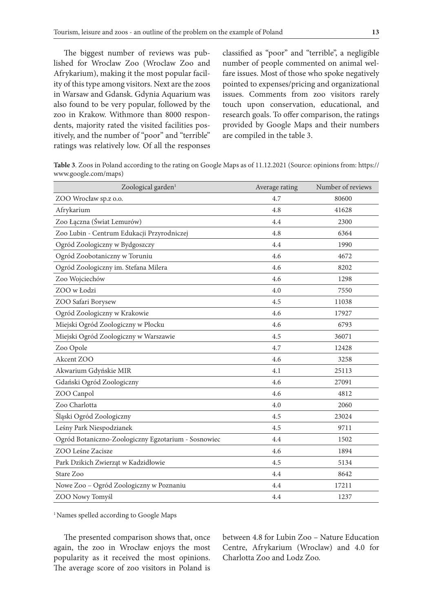The biggest number of reviews was published for Wroclaw Zoo (Wroclaw Zoo and Afrykarium), making it the most popular facility of this type among visitors. Next are the zoos in Warsaw and Gdansk. Gdynia Aquarium was also found to be very popular, followed by the zoo in Krakow. Withmore than 8000 respondents, majority rated the visited facilities positively, and the number of "poor" and "terrible" ratings was relatively low. Of all the responses classified as "poor" and "terrible", a negligible number of people commented on animal welfare issues. Most of those who spoke negatively pointed to expenses/pricing and organizational issues. Comments from zoo visitors rarely touch upon conservation, educational, and research goals. To offer comparison, the ratings provided by Google Maps and their numbers are compiled in the table 3.

**Table 3**. Zoos in Poland according to the rating on Google Maps as of 11.12.2021 (Source: opinions from: https:// www.google.com/maps)

| Zoological garden <sup>1</sup>                      | Average rating | Number of reviews |  |
|-----------------------------------------------------|----------------|-------------------|--|
| ZOO Wrocław sp.z o.o.                               | 4.7            | 80600             |  |
| Afrykarium                                          | 4.8            | 41628             |  |
| Zoo Łączna (Świat Lemurów)                          | 4.4            | 2300              |  |
| Zoo Lubin - Centrum Edukacji Przyrodniczej          | 4.8            | 6364              |  |
| Ogród Zoologiczny w Bydgoszczy                      | 4.4            | 1990              |  |
| Ogród Zoobotaniczny w Toruniu                       | 4.6            | 4672              |  |
| Ogród Zoologiczny im. Stefana Milera                | 4.6            | 8202              |  |
| Zoo Wojciechów                                      | 4.6            | 1298              |  |
| ZOO w Łodzi                                         | 4.0            | 7550              |  |
| ZOO Safari Borysew                                  | 4.5            | 11038             |  |
| Ogród Zoologiczny w Krakowie                        | 4.6            | 17927             |  |
| Miejski Ogród Zoologiczny w Płocku                  | 4.6            | 6793              |  |
| Miejski Ogród Zoologiczny w Warszawie               | 4.5            | 36071             |  |
| Zoo Opole                                           | 4.7            | 12428             |  |
| Akcent ZOO                                          | 4.6            | 3258              |  |
| Akwarium Gdyńskie MIR                               | 4.1            | 25113             |  |
| Gdański Ogród Zoologiczny                           | 4.6            | 27091             |  |
| ZOO Canpol                                          | 4.6            | 4812              |  |
| Zoo Charlotta                                       | 4.0            | 2060              |  |
| Śląski Ogród Zoologiczny                            | 4.5            | 23024             |  |
| Leśny Park Niespodzianek                            | 4.5            | 9711              |  |
| Ogród Botaniczno-Zoologiczny Egzotarium - Sosnowiec | 4.4            | 1502              |  |
| ZOO Leśne Zacisze                                   | 4.6            | 1894              |  |
| Park Dzikich Zwierząt w Kadzidłowie                 | 4.5            | 5134              |  |
| Stare Zoo                                           | 4.4            | 8642              |  |
| Nowe Zoo - Ogród Zoologiczny w Poznaniu             | 4.4            | 17211             |  |
| ZOO Nowy Tomyśl                                     | 4.4            | 1237              |  |

<sup>1</sup> Names spelled according to Google Maps

The presented comparison shows that, once again, the zoo in Wrocław enjoys the most popularity as it received the most opinions. The average score of zoo visitors in Poland is between 4.8 for Lubin Zoo – Nature Education Centre, Afrykarium (Wroclaw) and 4.0 for Charlotta Zoo and Lodz Zoo.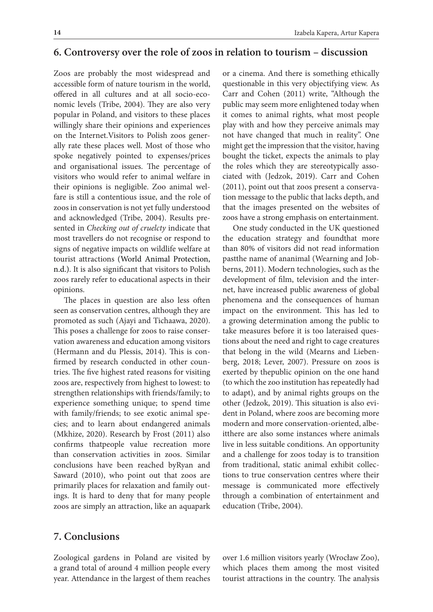## **6. Controversy over the role of zoos in relation to tourism – discussion**

Zoos are probably the most widespread and accessible form of nature tourism in the world, offered in all cultures and at all socio-economic levels (Tribe, 2004). They are also very popular in Poland, and visitors to these places willingly share their opinions and experiences on the Internet.Visitors to Polish zoos generally rate these places well. Most of those who spoke negatively pointed to expenses/prices and organisational issues. The percentage of visitors who would refer to animal welfare in their opinions is negligible. Zoo animal welfare is still a contentious issue, and the role of zoos in conservation is not yet fully understood and acknowledged (Tribe, 2004). Results presented in *Checking out of cruelcty* indicate that most travellers do not recognise or respond to signs of negative impacts on wildlife welfare at tourist attractions (World Animal Protection, n.d.). It is also significant that visitors to Polish zoos rarely refer to educational aspects in their opinions.

The places in question are also less often seen as conservation centres, although they are promoted as such (Ajayi and Tichaawa, 2020). This poses a challenge for zoos to raise conservation awareness and education among visitors (Hermann and du Plessis, 2014). This is confirmed by research conducted in other countries. The five highest rated reasons for visiting zoos are, respectively from highest to lowest: to strengthen relationships with friends/family; to experience something unique; to spend time with family/friends; to see exotic animal species; and to learn about endangered animals (Mkhize, 2020). Research by Frost (2011) also confirms thatpeople value recreation more than conservation activities in zoos. Similar conclusions have been reached byRyan and Saward (2010), who point out that zoos are primarily places for relaxation and family outings. It is hard to deny that for many people zoos are simply an attraction, like an aquapark or a cinema. And there is something ethically questionable in this very objectifying view. As Carr and Cohen (2011) write, "Although the public may seem more enlightened today when it comes to animal rights, what most people play with and how they perceive animals may not have changed that much in reality". One might get the impression that the visitor, having bought the ticket, expects the animals to play the roles which they are stereotypically associated with (Jedzok, 2019). Carr and Cohen (2011), point out that zoos present a conservation message to the public that lacks depth, and that the images presented on the websites of zoos have a strong emphasis on entertainment.

One study conducted in the UK questioned the education strategy and foundthat more than 80% of visitors did not read information pastthe name of ananimal (Wearning and Jobberns, 2011). Modern technologies, such as the development of film, television and the internet, have increased public awareness of global phenomena and the consequences of human impact on the environment. This has led to a growing determination among the public to take measures before it is too lateraised questions about the need and right to cage creatures that belong in the wild (Mearns and Liebenberg, 2018; Lever, 2007). Pressure on zoos is exerted by thepublic opinion on the one hand (to which the zoo institution has repeatedly had to adapt), and by animal rights groups on the other (Jedzok, 2019). This situation is also evident in Poland, where zoos are becoming more modern and more conservation-oriented, albeitthere are also some instances where animals live in less suitable conditions. An opportunity and a challenge for zoos today is to transition from traditional, static animal exhibit collections to true conservation centres where their message is communicated more effectively through a combination of entertainment and education (Tribe, 2004).

## **7. Conclusions**

Zoological gardens in Poland are visited by a grand total of around 4 million people every year. Attendance in the largest of them reaches over 1.6 million visitors yearly (Wrocław Zoo), which places them among the most visited tourist attractions in the country. The analysis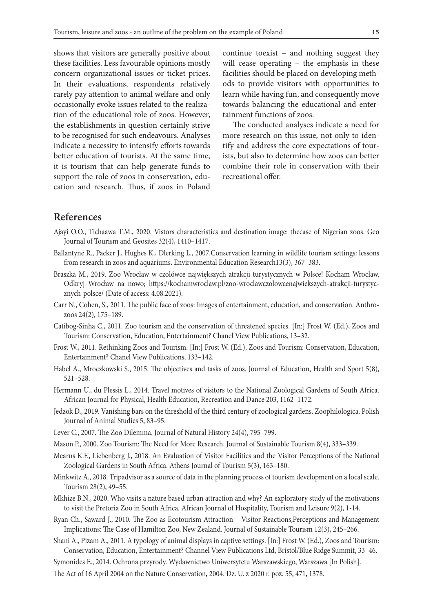shows that visitors are generally positive about these facilities. Less favourable opinions mostly concern organizational issues or ticket prices. In their evaluations, respondents relatively rarely pay attention to animal welfare and only occasionally evoke issues related to the realization of the educational role of zoos. However, the establishments in question certainly strive to be recognised for such endeavours. Analyses indicate a necessity to intensify efforts towards better education of tourists. At the same time, it is tourism that can help generate funds to support the role of zoos in conservation, education and research. Thus, if zoos in Poland

continue toexist – and nothing suggest they will cease operating – the emphasis in these facilities should be placed on developing methods to provide visitors with opportunities to learn while having fun, and consequently move towards balancing the educational and entertainment functions of zoos.

The conducted analyses indicate a need for more research on this issue, not only to identify and address the core expectations of tourists, but also to determine how zoos can better combine their role in conservation with their recreational offer.

## **References**

- Ajayi O.O., Tichaawa T.M., 2020. Vistors characteristics and destination image: thecase of Nigerian zoos. Geo Journal of Tourism and Geosites 32(4), 1410–1417.
- Ballantyne R., Packer J., Hughes K., Dlerking L., 2007.Conservation learning in wildlife tourism settings: lessons from research in zoos and aquariums. Environmental Education Research13(3), 367–383.
- Braszka M., 2019. Zoo Wrocław w czołówce największych atrakcji turystycznych w Polsce! Kocham Wrocław. Odkryj Wrocław na nowo; https://kochamwroclaw.pl/zoo-wroclawczolowcenajwiekszych-atrakcji-turystycznych-polsce/ (Date of access: 4.08.2021).
- Carr N., Cohen, S., 2011. The public face of zoos: Images of entertainment, education, and conservation. Anthrozoos 24(2), 175–189.
- Catibog-Sinha C., 2011. Zoo tourism and the conservation of threatened species. [In:] Frost W. (Ed.), Zoos and Tourism: Conservation, Education, Entertainment? Chanel View Publications, 13–32.
- Frost W., 2011. Rethinking Zoos and Tourism. [In:] Frost W. (Ed.), Zoos and Tourism: Conservation, Education, Entertainment? Chanel View Publications, 133–142.
- Habel A., Mroczkowski S., 2015. The objectives and tasks of zoos. Journal of Education, Health and Sport 5(8), 521–528.
- Hermann U., du Plessis L., 2014. Travel motives of visitors to the National Zoological Gardens of South Africa. African Journal for Physical, Health Education, Recreation and Dance 203, 1162–1172.
- Jedzok D., 2019. Vanishing bars on the threshold of the third century of zoological gardens. Zoophilologica. Polish Journal of Animal Studies 5, 83–95.
- Lever C., 2007. The Zoo Dilemma. Journal of Natural History 24(4), 795–799.
- Mason P., 2000. Zoo Tourism: The Need for More Research. Journal of Sustainable Tourism 8(4), 333–339.
- Mearns K.F., Liebenberg J., 2018. An Evaluation of Visitor Facilities and the Visitor Perceptions of the National Zoological Gardens in South Africa. Athens Journal of Tourism 5(3), 163–180.
- Minkwitz A., 2018. Tripadvisor as a source of data in the planning process of tourism development on a local scale. Tourism 28(2), 49–55.
- Mkhize B.N., 2020. Who visits a nature based urban attraction and why? An exploratory study of the motivations to visit the Pretoria Zoo in South Africa*.* African Journal of Hospitality, Tourism and Leisure 9(2), 1-14.
- Ryan Ch., Saward J., 2010. The Zoo as Ecotourism Attraction Visitor Reactions,Perceptions and Management Implications: The Case of Hamilton Zoo, New Zealand. Journal of Sustainable Tourism 12(3), 245–266.
- Shani A., Pizam A., 2011. A typology of animal displays in captive settings. [In:] Frost W. (Ed.), Zoos and Tourism: Conservation, Education, Entertainment? Channel View Publications Ltd, Bristol/Blue Ridge Summit, 33–46.
- Symonides E., 2014. Ochrona przyrody. Wydawnictwo Uniwersytetu Warszawskiego, Warszawa [In Polish].

The Act of 16 April 2004 on the Nature Conservation, 2004. Dz. U. z 2020 r. poz. 55, 471, 1378.